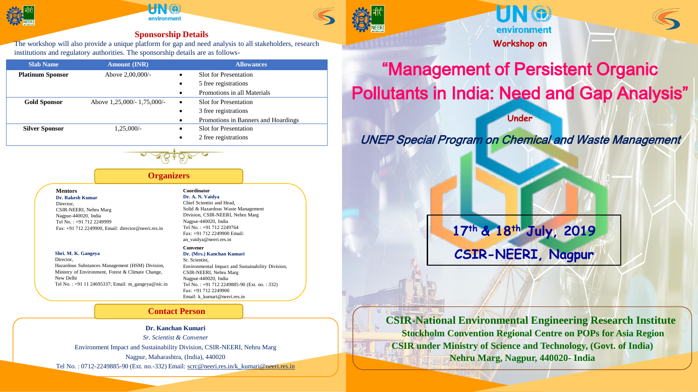

# environmen

## **Sponsorship Details**

The workshop will also provide a unique platform for gap and need analysis to all stakeholders, research institutions and regulatory authorities. The sponsorship details are as follows-

| <b>Slab Name</b>        | <b>Amount (INR)</b>         |           | <b>Allowances</b>                   |
|-------------------------|-----------------------------|-----------|-------------------------------------|
| <b>Platinum Sponsor</b> | Above 2,00,000/-            | $\bullet$ | <b>Slot for Presentation</b>        |
|                         |                             | $\bullet$ | 5 free registrations                |
|                         |                             | $\bullet$ | Promotions in all Materials         |
| <b>Gold Sponsor</b>     | Above 1,25,000/- 1,75,000/- | $\bullet$ | <b>Slot</b> for Presentation        |
|                         |                             | $\bullet$ | 3 free registrations                |
|                         |                             | $\bullet$ | Promotions in Banners and Hoardings |
| <b>Silver Sponsor</b>   | $1,25,000/-$                | $\bullet$ | <b>Slot for Presentation</b>        |
|                         |                             | ٠         | 2 free registrations                |



### **Organizers**

**Mentors**

**Dr. Rakesh Kumar** Director, CSIR-NEERI, Nehru Marg Nagpur-440020, India Tel No. : +91 712 2249999 Fax: +91 712 2249900, Email: director@neeri.res.in

#### **Shri. M. K. Gangeya**

Director, Hazardous Substances Management (HSM) Division, Ministry of Environment, Forest & Climate Change, New Delhi Tel No. : +91 11 24695337; Email: m\_gangeya@nic.in

#### **Coordinator Dr. A. N. Vaidya**

Chief Scientist and Head, Solid & Hazardous Waste Management Division, CSIR-NEERI, Nehru Marg Nagpur-440020, India Tel No. : +91 712 2249764 Fax: +91 712 2249900 Email: an\_vaidya@neeri.res.in

#### **Convener Dr. (Mrs.) Kanchan Kumari**

Sr. Scientist, Environmental Impact and Sustainability Division, CSIR-NEERI, Nehru Marg Nagpur-440020, India Tel No. : +91 712 2249885-90 (Ext. no. : 332) Fax: +91 712 2249900 Email: k\_kumari@neeri.res.in

#### **Contact Person**

#### **Dr. Kanchan Kumari**

*Sr. Scientist & Convener* Environment Impact and Sustainability Division, CSIR-NEERI, Nehru Marg Nagpur, Maharashtra, (India), 440020 Tel No. : 0712-2249885-90 (Ext. no.-332) Email: scrc@neeri.res.in/k\_kumari@neeri.res.in



# "Management of Persistent Organic Pollutants in India: Need and Gap Analysis"

**Under** 

# UNEP Special Program on Chemical and Waste Management

**17th & 18th July, 2019 CSIR-NEERI, Nagpur**

**CSIR-National Environmental Engineering Research Institute Stockholm Convention Regional Centre on POPs for Asia Region CSIR under Ministry of Science and Technology, (Govt. of India) Nehru Marg, Nagpur, 440020- India**